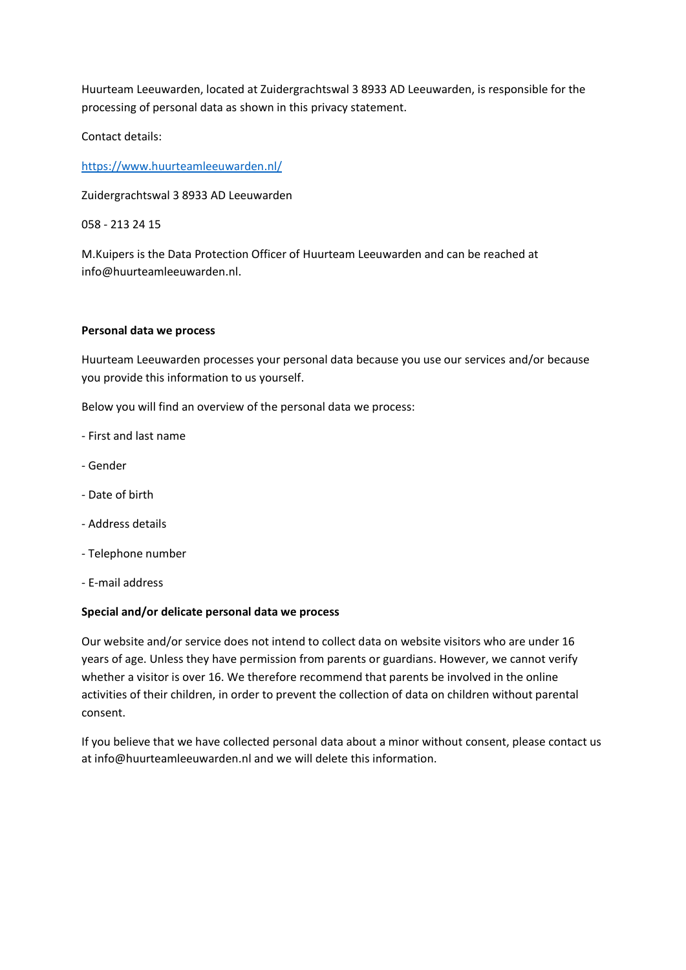Huurteam Leeuwarden, located at Zuidergrachtswal 3 8933 AD Leeuwarden, is responsible for the processing of personal data as shown in this privacy statement.

Contact details:

<https://www.huurteamleeuwarden.nl/>

Zuidergrachtswal 3 8933 AD Leeuwarden

058 - 213 24 15

M.Kuipers is the Data Protection Officer of Huurteam Leeuwarden and can be reached at info@huurteamleeuwarden.nl.

#### **Personal data we process**

Huurteam Leeuwarden processes your personal data because you use our services and/or because you provide this information to us yourself.

Below you will find an overview of the personal data we process:

- First and last name
- Gender
- Date of birth
- Address details
- Telephone number
- E-mail address

#### **Special and/or delicate personal data we process**

Our website and/or service does not intend to collect data on website visitors who are under 16 years of age. Unless they have permission from parents or guardians. However, we cannot verify whether a visitor is over 16. We therefore recommend that parents be involved in the online activities of their children, in order to prevent the collection of data on children without parental consent.

If you believe that we have collected personal data about a minor without consent, please contact us at info@huurteamleeuwarden.nl and we will delete this information.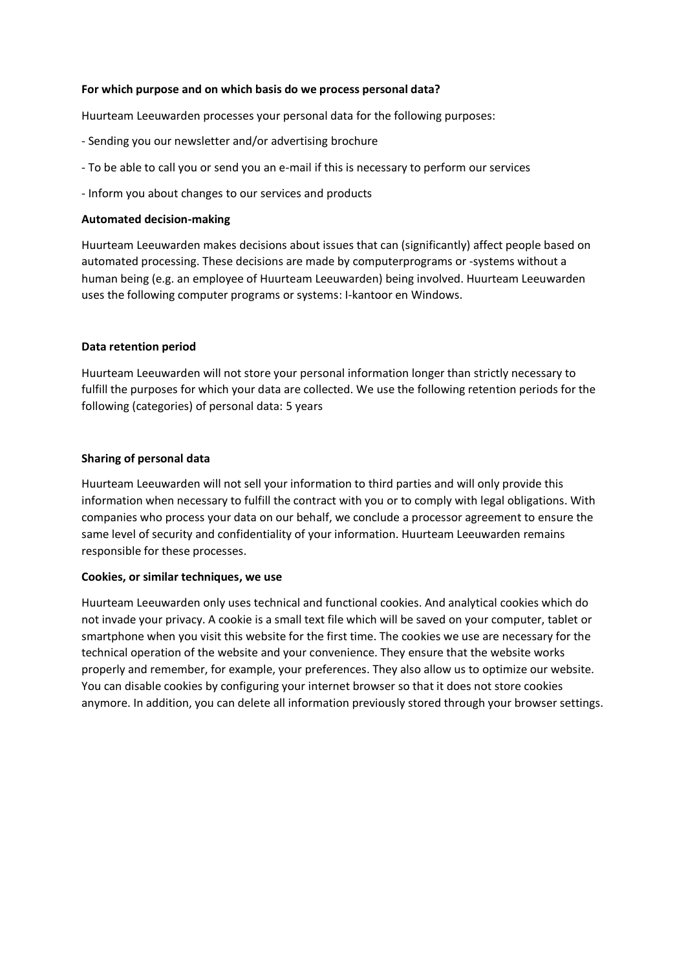### **For which purpose and on which basis do we process personal data?**

Huurteam Leeuwarden processes your personal data for the following purposes:

- Sending you our newsletter and/or advertising brochure
- To be able to call you or send you an e-mail if this is necessary to perform our services
- Inform you about changes to our services and products

## **Automated decision-making**

Huurteam Leeuwarden makes decisions about issues that can (significantly) affect people based on automated processing. These decisions are made by computerprograms or -systems without a human being (e.g. an employee of Huurteam Leeuwarden) being involved. Huurteam Leeuwarden uses the following computer programs or systems: I-kantoor en Windows.

# **Data retention period**

Huurteam Leeuwarden will not store your personal information longer than strictly necessary to fulfill the purposes for which your data are collected. We use the following retention periods for the following (categories) of personal data: 5 years

# **Sharing of personal data**

Huurteam Leeuwarden will not sell your information to third parties and will only provide this information when necessary to fulfill the contract with you or to comply with legal obligations. With companies who process your data on our behalf, we conclude a processor agreement to ensure the same level of security and confidentiality of your information. Huurteam Leeuwarden remains responsible for these processes.

### **Cookies, or similar techniques, we use**

Huurteam Leeuwarden only uses technical and functional cookies. And analytical cookies which do not invade your privacy. A cookie is a small text file which will be saved on your computer, tablet or smartphone when you visit this website for the first time. The cookies we use are necessary for the technical operation of the website and your convenience. They ensure that the website works properly and remember, for example, your preferences. They also allow us to optimize our website. You can disable cookies by configuring your internet browser so that it does not store cookies anymore. In addition, you can delete all information previously stored through your browser settings.